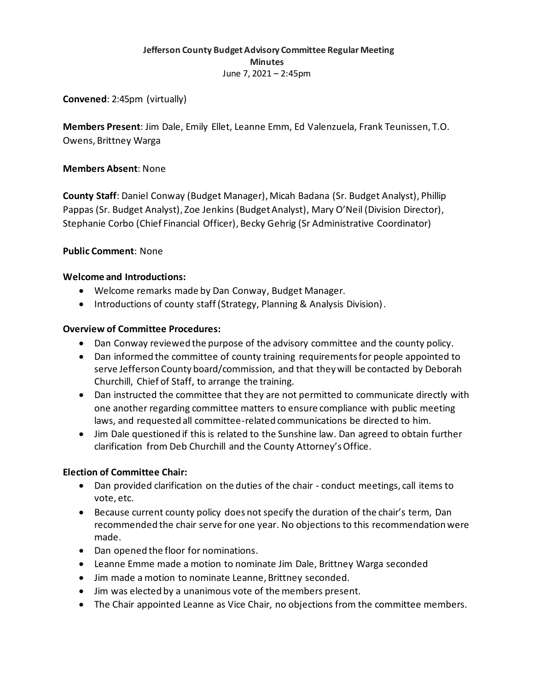# **Jefferson County Budget Advisory Committee Regular Meeting Minutes** June 7, 2021 – 2:45pm

**Convened**: 2:45pm (virtually)

**Members Present**: Jim Dale, Emily Ellet, Leanne Emm, Ed Valenzuela, Frank Teunissen, T.O. Owens, Brittney Warga

### **Members Absent**: None

**County Staff**: Daniel Conway (Budget Manager), Micah Badana (Sr. Budget Analyst), Phillip Pappas (Sr. Budget Analyst), Zoe Jenkins (Budget Analyst), Mary O'Neil (Division Director), Stephanie Corbo (Chief Financial Officer), Becky Gehrig (Sr Administrative Coordinator)

### **Public Comment**: None

### **Welcome and Introductions:**

- Welcome remarks made by Dan Conway, Budget Manager.
- Introductions of county staff (Strategy, Planning & Analysis Division).

#### **Overview of Committee Procedures:**

- Dan Conway reviewed the purpose of the advisory committee and the county policy.
- Dan informed the committee of county training requirements for people appointed to serve Jefferson County board/commission, and that they will be contacted by Deborah Churchill, Chief of Staff, to arrange the training.
- Dan instructed the committee that they are not permitted to communicate directly with one another regarding committee matters to ensure compliance with public meeting laws, and requested all committee-related communications be directed to him.
- Jim Dale questioned if this is related to the Sunshine law. Dan agreed to obtain further clarification from Deb Churchill and the County Attorney's Office.

# **Election of Committee Chair:**

- Dan provided clarification on the duties of the chair conduct meetings, call items to vote, etc.
- Because current county policy does not specify the duration of the chair's term, Dan recommended the chair serve for one year. No objections to this recommendation were made.
- Dan opened the floor for nominations.
- Leanne Emme made a motion to nominate Jim Dale, Brittney Warga seconded
- Jim made a motion to nominate Leanne, Brittney seconded.
- Jim was elected by a unanimous vote of the members present.
- The Chair appointed Leanne as Vice Chair, no objections from the committee members.